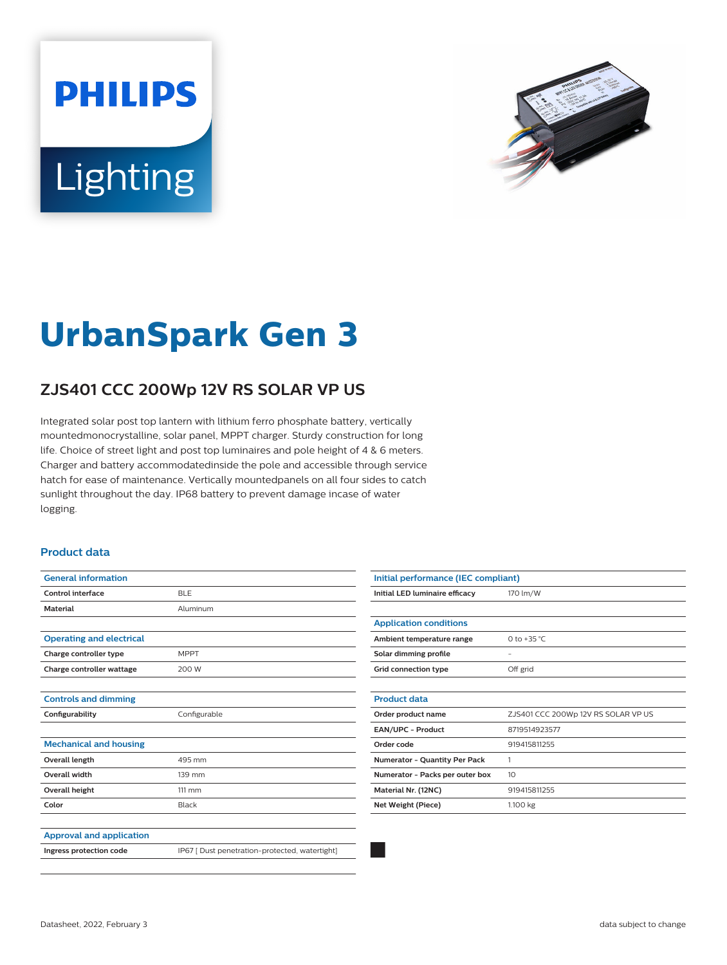# **PHILIPS** Lighting



## **UrbanSpark Gen 3**

### **ZJS401 CCC 200Wp 12V RS SOLAR VP US**

Integrated solar post top lantern with lithium ferro phosphate battery, vertically mountedmonocrystalline, solar panel, MPPT charger. Sturdy construction for long life. Choice of street light and post top luminaires and pole height of 4 & 6 meters. Charger and battery accommodatedinside the pole and accessible through service hatch for ease of maintenance. Vertically mountedpanels on all four sides to catch sunlight throughout the day. IP68 battery to prevent damage incase of water logging.

#### **Product data**

| <b>General information</b>      |                                                |
|---------------------------------|------------------------------------------------|
| Control interface               | <b>BLE</b>                                     |
| <b>Material</b>                 | Aluminum                                       |
|                                 |                                                |
| <b>Operating and electrical</b> |                                                |
| Charge controller type          | <b>MPPT</b>                                    |
| Charge controller wattage       | 200 W                                          |
|                                 |                                                |
| <b>Controls and dimming</b>     |                                                |
| Configurability                 | Configurable                                   |
|                                 |                                                |
| <b>Mechanical and housing</b>   |                                                |
| <b>Overall length</b>           | 495 mm                                         |
| <b>Overall width</b>            | 139 mm                                         |
| <b>Overall height</b>           | $111 \text{ mm}$                               |
| Color                           | Black                                          |
|                                 |                                                |
| <b>Approval and application</b> |                                                |
| Ingress protection code         | IP67 [ Dust penetration-protected, watertight] |
|                                 |                                                |

| Initial performance (IEC compliant) |                                     |
|-------------------------------------|-------------------------------------|
| Initial LED luminaire efficacy      | 170 lm/W                            |
|                                     |                                     |
| <b>Application conditions</b>       |                                     |
| Ambient temperature range           | 0 to +35 $^{\circ}$ C               |
| Solar dimming profile               |                                     |
| <b>Grid connection type</b>         | Off grid                            |
|                                     |                                     |
| <b>Product data</b>                 |                                     |
| Order product name                  | ZJS401 CCC 200Wp 12V RS SOLAR VP US |
| EAN/UPC - Product                   | 8719514923577                       |
| Order code                          | 919415811255                        |
| Numerator - Quantity Per Pack       | 1                                   |
| Numerator - Packs per outer box     | 10 <sup>2</sup>                     |
| Material Nr. (12NC)                 | 919415811255                        |
| Net Weight (Piece)                  | 1.100 kg                            |
|                                     |                                     |